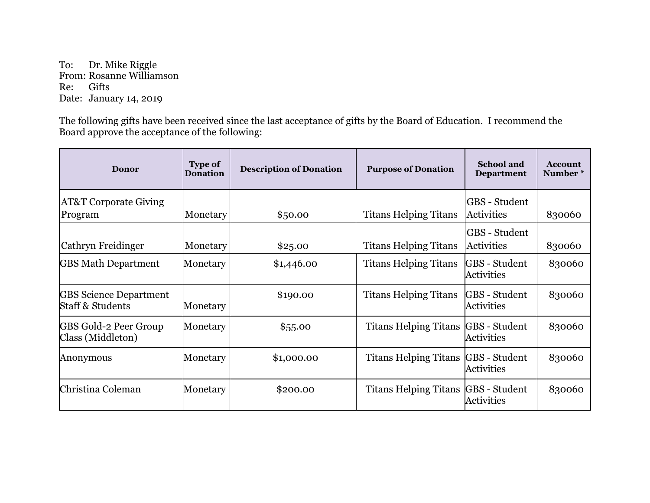To: Dr. Mike Riggle From: Rosanne Williamson Re: Gifts Date: January 14, 2019

The following gifts have been received since the last acceptance of gifts by the Board of Education. I recommend the Board approve the acceptance of the following:

| Donor                                                        | <b>Type of</b><br><b>Donation</b> | <b>Description of Donation</b> | <b>Purpose of Donation</b>   | <b>School and</b><br><b>Department</b>    | <b>Account</b><br>Number* |
|--------------------------------------------------------------|-----------------------------------|--------------------------------|------------------------------|-------------------------------------------|---------------------------|
| <b>AT&amp;T Corporate Giving</b>                             |                                   |                                |                              | GBS - Student                             |                           |
| Program                                                      | Monetary                          | \$50.00                        | <b>Titans Helping Titans</b> | <b>Activities</b>                         | 830060                    |
| Cathryn Freidinger                                           | Monetary                          | \$25.00                        | <b>Titans Helping Titans</b> | GBS - Student<br>Activities               | 830060                    |
| <b>GBS Math Department</b>                                   | Monetary                          | \$1,446.00                     | <b>Titans Helping Titans</b> | GBS - Student<br><b>Activities</b>        | 830060                    |
| <b>GBS</b> Science Department<br><b>Staff &amp; Students</b> | Monetary                          | \$190.00                       | <b>Titans Helping Titans</b> | <b>GBS</b> - Student<br><b>Activities</b> | 830060                    |
| <b>GBS Gold-2 Peer Group</b><br>Class (Middleton)            | Monetary                          | \$55.00                        | <b>Titans Helping Titans</b> | GBS - Student<br>Activities               | 830060                    |
| Anonymous                                                    | Monetary                          | \$1,000.00                     | <b>Titans Helping Titans</b> | GBS - Student<br><b>Activities</b>        | 830060                    |
| Christina Coleman                                            | Monetary                          | \$200.00                       | <b>Titans Helping Titans</b> | GBS - Student<br><b>Activities</b>        | 830060                    |